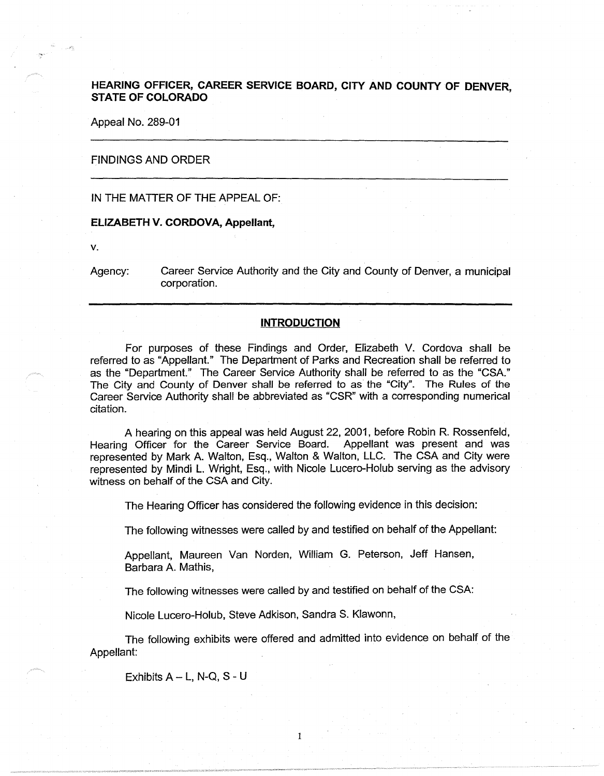# **HEARING OFFICER, CAREER SERVICE BOARD, CITY AND COUNTY OF DENVER STATE OF COLORADO** '

Appeal No. 289-01

#### FINDINGS AND ORDER

# IN THE MATTER OF THE APPEAL OF:

#### **ELIZABETH V. CORDOVA, Appellant,**

**V.** 

Agency: Career Service Authority and the City and County of Denver, a municipal corporation.

### **INTRODUCTION**

For purposes of these Findings and Order, Elizabeth V. Cordova shall be referred to as "Appellant." The Department of Parks and Recreation shall be referred to as the "Department." The Career Service Authority shall be referred to as the "CSA." The City and County of Denver shall be referred to as the "City". The Rules of the Career Service Authority shall be abbreviated as "CSR" with a corresponding numerical citation.

A hearing on this appeal was held August 22, 2001, before Robin R. Rossenfeld, Hearing Officer for the Career Service Board. Appellant was present and was represented by Mark A. Walton, Esq., Walton & Walton, LLC. The CSA and City were represented by Mindi L. Wright, Esq., with Nicole Lucero-Holub serving as the advisory witness on behalf of the CSA and City.

The Hearing Officer has considered the following evidence in this decision:

The following witnesses were called by and testified on behalf of the Appellant:

Appellant, Maureen Van Norden, William G. Peterson, Jeff Hansen, Barbara A. Mathis,

The following witnesses were called by and testified on behalf of the CSA:

Nicole Lucero-Holub, Steve Adkison, Sandra S. Klawonn,

The following exhibits were offered and admitted into evidence on behalf of the Appellant:

1

Exhibits  $A - L$ , N-Q, S - U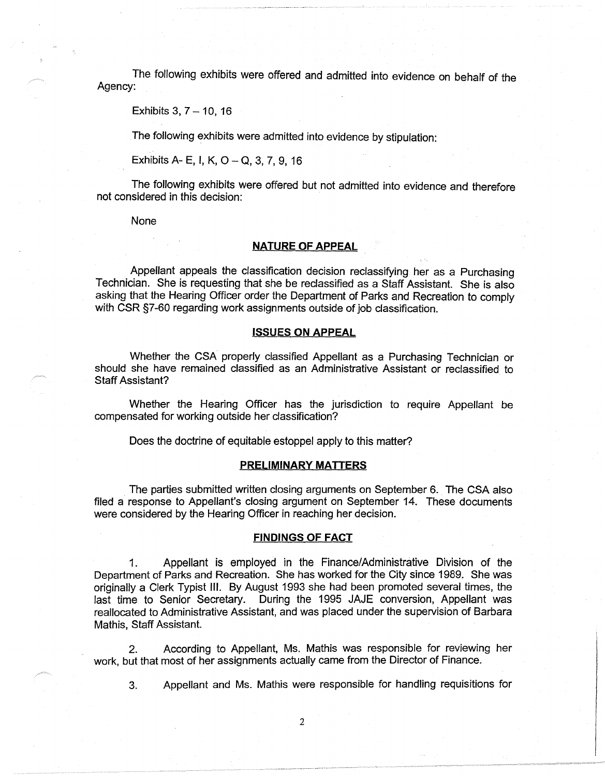The following exhibits were offered and admitted into evidence on behalf of the Agency:

Exhibits  $3, 7 - 10, 16$ 

The following exhibits were admitted into evidence by stipulation:

Exhibits A- E, I, **K, 0-Q, 3,** 7, 9, 16

The following exhibits were offered but not admitted into evidence and therefore not considered in this decision:

None

# **NATURE OF APPEAL**

Appellant appeals the classification decision reclassifying her as a Purchasing Technician. She is requesting that she be reclassified as a Staff Assistant. She is also asking that the Hearing Officer order the Department of Parks and Recreation to comply with CSR §7-60 regarding work assignments outside of job classification.

### **ISSUES ON APPEAL**

Whether the CSA properly classified Appellant as a Purchasing Technician or should she have remained classified as an Administrative Assistant or reclassified to Staff Assistant?

Whether the Hearing Officer has the jurisdiction to require Appellant be compensated for working outside her classification?

Does the doctrine of equitable estoppel apply to this matter?

### **PRELIMINARY MATTERS**

The parties submitted written closing arguments on September 6. The CSA also filed a response to Appellant's closing argument on September 14. These documents were considered by the Hearing Officer in reaching her decision.

### **FINDINGS OF FACT**

1. Appellant is employed in the Finance/Administrative Division of the Department of Parks and Recreation. She has worked for the City since 1989. She was originally a Clerk Typist Ill. By August 1993 she had been promoted several times, the last time to Senior Secretary. During the 1995 JAJE conversion, Appellant was reallocated to Administrative Assistant, and was placed under the supervision of Barbara Mathis, Staff Assistant.

2. According to Appellant, Ms. Mathis was responsible for reviewing her work, but that most of her assignments actually came from the Director of Finance.

3. Appellant and Ms. Mathis were responsible for handling requisitions for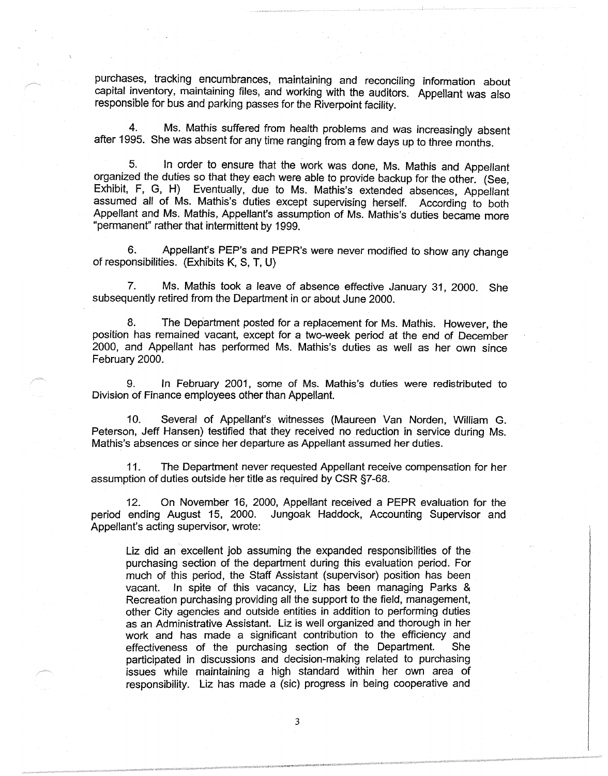purchases, tracking encumbrances, maintaining and reconciling information about capital inventory, maintaining files, and working with the auditors. Appellant was also responsible for bus and parking passes for the Riverpoint facility.

Ms. Mathis suffered from health problems and was increasingly absent after 1995. She was absent for any time ranging from a few days up to three months.

5. In order to ensure that the work was done, Ms. Mathis and Appellant organized the duties so that they each were able to provide backup for the other. (See, Exhibit, F, G, H) Eventually, due to Ms. Mathis's extended absences, Appellant assumed all of Ms. Mathis's duties except supervising herself. According to both Appellant and Ms. Mathis, Appellant's assumption of Ms. Mathis's duties became more "permanent" rather that intermittent by 1999.

6. Appellant's PEP's and PEPR's were never modified to show any change of responsibilities. (Exhibits K, S, T, U)

7. Ms. Mathis took a leave of absence effective January 31, 2000. She subsequently retired from the Department in or about June 2000.

8. The Department posted for a replacement for Ms. Mathis. However, the position has remained vacant, except for a two-week period at the end of December 2000, and Appellant has performed Ms. Mathis's duties as well as her own since February 2000.

9. In February 2001, some of Ms. Mathis's duties were redistributed to Division of Finance employees other than Appellant.

10. Several of Appellant's. witnesses (Maureen Van Norden, William G. Peterson, Jeff Hansen) testified that they received no reduction in service during Ms. Mathis's absences or since her departure as Appellant assumed her duties.

11. The Department never requested Appellant receive compensation for her assumption of duties outside her title as required by CSR §7-68.

12. On November 16, 2000, Appellant received a PEPR evaluation for the period ending August 15, 2000. Jungoak Haddock, Accounting Supervisor and Appellant's acting supervisor, wrote:

Liz did an excellent job assuming the expanded responsibilities of the purchasing section of the department during this evaluation period. For much of this period, the Staff Assistant (supervisor) position has been vacant. In spite of this vacancy, Liz has been managing Parks & Recreation purchasing providing all the support to the field, management, other City agencies and outside entities in addition to performing duties as an Administrative Assistant. Liz is well organized and thorough in her work and has made a significant contribution to the efficiency and effectiveness of the purchasing section of the Department. She participated in discussions and decision-making related to purchasing issues while maintaining a high standard within her own area of responsibility. Liz has made a (sic) progress in being cooperative and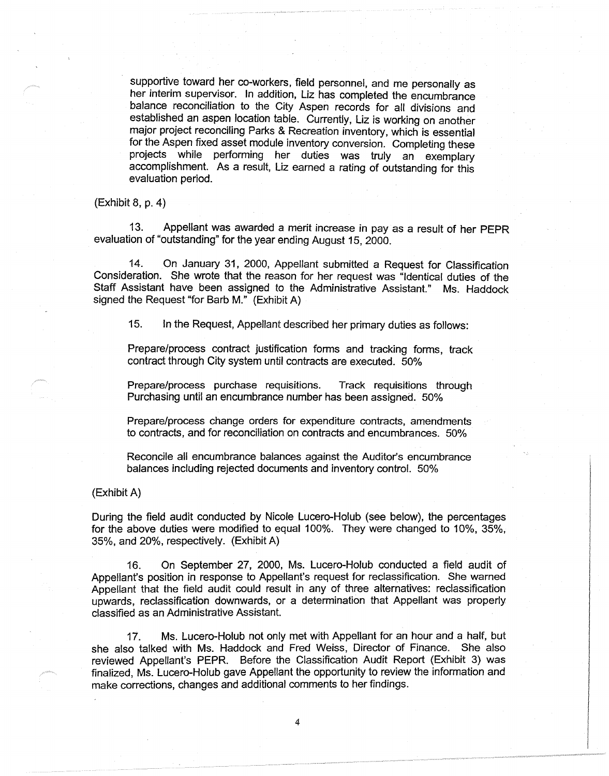supportive toward her co-workers, field personnel, and me personally as her interim supervisor. In addition, Liz has completed the encumbrance balance reconciliation to the City Aspen records for all divisions and established an aspen location table. Currently, Liz is working on another major project reconciling Parks & Recreation inventory, which is essential for the Aspen fixed asset module inventory conversion. Completing these projects while performing her duties was truly an exemplary accomplishment. As a result, Liz earned a rating of outstanding for this evaluation period.

(Exhibit 8, p. 4)

13. Appellant was awarded a merit increase in pay as a result of her PEPR evaluation of "outstanding" for the year ending August 15, 2000.

14. On January 31, 2000, Appellant submitted a Request for Classification Consideration. She wrote that the reason for her request was "Identical duties of the Staff Assistant have been assigned to the Administrative Assistant." Ms. Haddock signed the Request "for Barb M." (Exhibit A)

15. In the Request, Appellant described her primary duties as follows:

Prepare/process contract justification forms and tracking forms, track contract through City system until contracts are executed. 50%

Prepare/process purchase requisitions. Track requisitions through Purchasing until an encumbrance number has been assigned. 50%

Prepare/process change orders for expenditure contracts, amendments to contracts, and for reconciliation on contracts and encumbrances. 50%

Reconcile all encumbrance balances against the Auditor's encumbrance balances including rejected documents and inventory control. 50%

(Exhibit A)

During the field audit conducted by Nicole Lucero-Holub (see below), the percentages for the above duties were modified to equal 100%. They were changed to 10%, 35%, 35%, and 20%, respectively. (Exhibit A)

16. On September 27, 2000, Ms. Lucero-Holub conducted a field audit of Appellant's position in response to Appellant's request for reclassification. She warned Appellant that the field audit could result in any of three alternatives: reclassification upwards, reclassification downwards, or a determination that Appellant was properly classified as an Administrative Assistant.

17. Ms. Lucero-Holub not only met with Appellant for an hour and a half, but she also talked with Ms. Haddock and Fred Weiss, Director of Finance. She also reviewed Appellant's PEPR. Before the Classification Audit Report (Exhibit 3) was finalized, Ms. Lucero-Holub gave Appellant the opportunity to review the information and make corrections, changes and additional comments to her findings.

4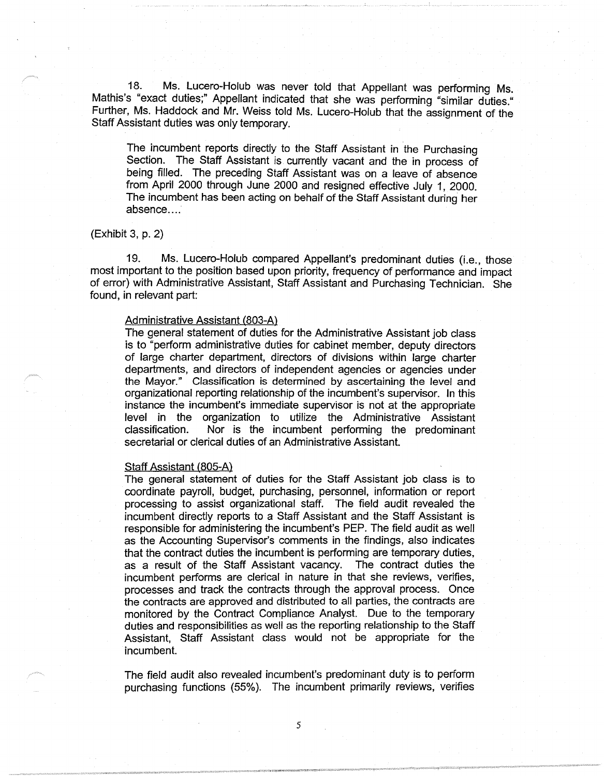18. Ms. Lucero-Holub was never told that Appellant was performing Ms. Mathis's "exact duties;" Appellant indicated that she was performing "similar duties." Further, Ms. Haddock and Mr. Weiss told Ms. Lucero-Holub that the assignment of the Staff Assistant duties was only temporary.

The incumbent reports directly to the Staff Assistant in the Purchasing Section. The Staff Assistant is currently vacant and the in process of being filled. The preceding Staff Assistant was on a leave of absence from April 2000 through June 2000 and resigned effective July 1, 2000. The incumbent has been acting on behalf of the Staff Assistant during her absence....

### (Exhibit 3, p. 2)

19. Ms. Lucero-Holub compared Appellant's predominant duties (i.e., those most important to the position based upon priority, frequency of performance and impact of error) with Administrative Assistant, Staff Assistant and Purchasing Technician. She found, in relevant part:

#### Administrative Assistant (803-A)

The general statement of duties for the Administrative Assistant job class is to "perform administrative duties for cabinet member, deputy directors of large charter department, directors of divisions within large charter departments, and directors of independent agencies or agencies under the Mayor." Classification is determined by ascertaining the level and organizational reporting relationship of the incumbent's supervisor. In this instance the incumbent's immediate supervisor is not at the appropriate level in the organization to utilize the Administrative Assistant classification. Nor is the incumbent performing the predominant secretarial or clerical duties of an Administrative Assistant.

#### Staff Assistant (805-A)

The general statement of duties for the Staff Assistant job class is to coordinate payroll, budget, purchasing, personnel, information or report processing to assist organizational staff. The field audit revealed the incumbent directly reports to a Staff Assistant and the Staff Assistant is responsible for administering the incumbent's PEP. The field audit as well as the Accounting Supervisor's comments in the findings, also indicates that the contract duties the incumbent is performing are temporary duties, as a result of the Staff Assistant vacancy. The contract duties the incumbent performs are clerical in nature in that she reviews, verifies, processes and track the contracts through the approval process. Once the contracts are approved and distributed to all parties, the contracts are monitored by the Contract Compliance Analyst. Due to the temporary duties and responsibilities as well as the reporting relationship to the Staff Assistant, Staff Assistant class would not be appropriate for the incumbent.

The field audit also revealed incumbent's predominant duty is to perform purchasing functions (55%). The incumbent primarily reviews, verifies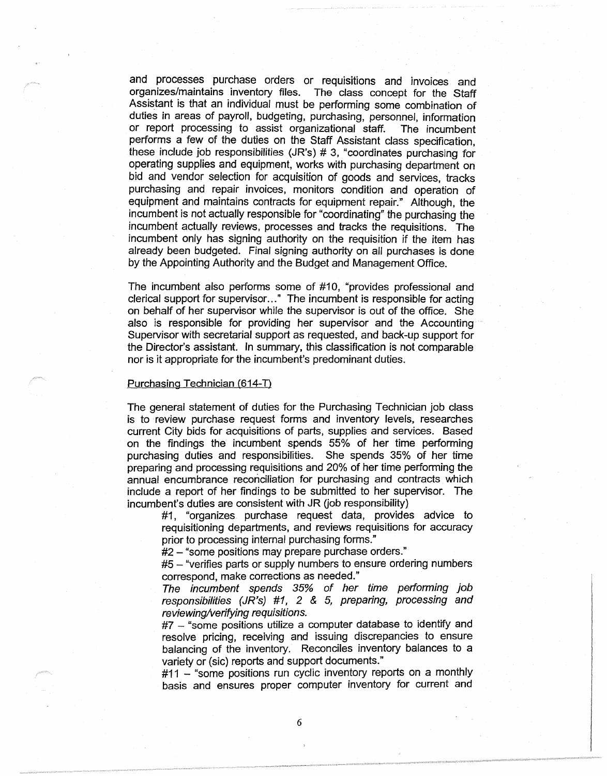and processes purchase orders or requisitions and invoices and organizes/maintains inventory files. The class concept for the Staff Assistant is that an individual must be performing some combination of duties in areas of payroll, budgeting, purchasing, personnel, information or report processing to assist organizational staff. The incumbent performs a few of the duties on the Staff Assistant class specification, these include job responsibilities (JR's) # 3, "coordinates purchasing for operating supplies and equipment, works with purchasing department on bid and vendor selection for acquisition of goods and services, tracks purchasing and repair invoices, monitors condition and operation of equipment and maintains contracts for equipment repair." Although, the incumbent is not actually responsible for "coordinating" the purchasing the incumbent actually reviews, processes and tracks the requisitions. The incumbent only has signing authority on the requisition if the item has already been budgeted. Final signing authority on all purchases is done by the Appointing Authority and the Budget and Management Office.

The incumbent also performs some of #10, "provides professional and clerical support for supervisor ... " The incumbent is responsible for acting on behalf of her supervisor while the supervisor is out of the office. She also is responsible for providing her supervisor and the Accounting Supervisor with secretarial support as requested, and back-up support for the Director's assistant. In summary, this classification is not comparable nor is it appropriate for the incumbent's predominant duties.

### Purchasing Technician (614-D

The general statement of duties for the Purchasing Technician job class is to review purchase request forms and inventory levels, researches current City bids for acquisitions of parts, supplies and services. Based on the findings the incumbent spends 55% of her time performing purchasing duties and responsibilities. She spends 35% of her time preparing and processing requisitions and 20% of her time performing the annual encumbrance reconciliation for purchasing and contracts which include a report of her findings to be submitted to her supervisor. The incumbent's duties are consistent with JR (job responsibility)

#1, "organizes purchase request data, provides advice to requisitioning departments, and reviews requisitions for accuracy prior to processing internal purchasing forms."

#2 - "some positions may prepare purchase orders."

#5 - "verifies parts or supply numbers to ensure ordering numbers correspond, make corrections as needed."

The incumbent spends 35% of her time performing job responsibilities (JR's) #1, 2 & 5, preparing, processing and reviewing/verifying requisitions.

 $#7$  – "some positions utilize a computer database to identify and resolve pricing, receiving and issuing discrepancies to ensure balancing of the inventory. Reconciles inventory balances to a variety or (sic) reports and support documents."

#11 - "some positions run cyclic inventory reports on a monthly basis and ensures proper computer inventory for current and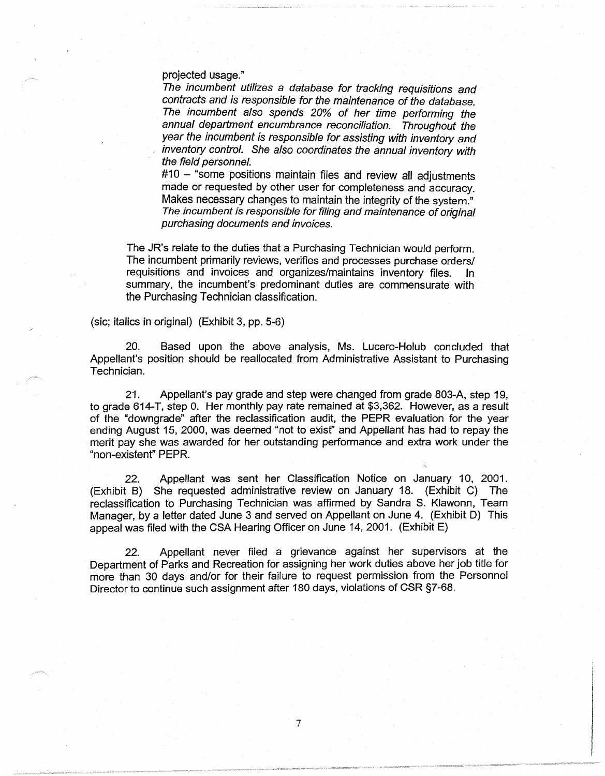projected usage."

The incumbent utilizes a database for tracking requisitions and contracts and is responsible for the maintenance of the database. The incumbent also spends 20% of her time performing the annual department encumbrance reconciliation. Throughout the year the incumbent is responsible for assisting with inventory and inventory control. She also coordinates the annual inventory with the field personnel.

 $#10$  – "some positions maintain files and review all adjustments made or requested by other user for completeness and accuracy. Makes necessary changes to maintain the integrity of the system." The incumbent is responsible for filing and maintenance of original purchasing documents and invoices.

The JR's relate to the duties that a Purchasing Technician would perform. The incumbent primarily reviews, verifies and processes purchase orders/ requisitions and invoices and organizes/maintains inventory files. In summary, the incumbent's predominant duties are commensurate with the Purchasing Technician classification.

(sic; italics in original) (Exhibit 3, pp. 5-6)

20. Based upon the above analysis, Ms. Lucero-Holub concluded that Appellant's position should be reallocated from Administrative Assistant to Purchasing Technician.

21. Appellant's pay grade and step were changed from grade 803-A, step 19, to grade 614-T, step 0. Her monthly pay rate remained at \$3,362. However, as a result of the "downgrade" after the reclassification audit, the PEPR evaluation for the year ending August 15, 2000, was deemed "not to exist" and Appellant has had to repay the merit pay she was awarded for her outstanding performance and extra work under the "non-existent" PEPR.

22. Appellant was sent her Classification Notice on January 10, 2001. (Exhibit B) She requested administrative review on January 18. (Exhibit C) The reclassification to Purchasing Technician was affirmed by Sandra S. Klawonn, Team Manager, by a letter dated June 3 and served on Appellant on June 4. (Exhibit D) This appeal was filed with the CSA Hearing Officer on June 14, 2001. (Exhibit E)

22. Appellant never filed a grievance against her supervisors at the Department of Parks and Recreation for assigning her work duties above her job title for more than 30 days and/or for their failure to request permission from the Personnel Director to continue such assignment after 180 days, violations of CSR §7-68.

7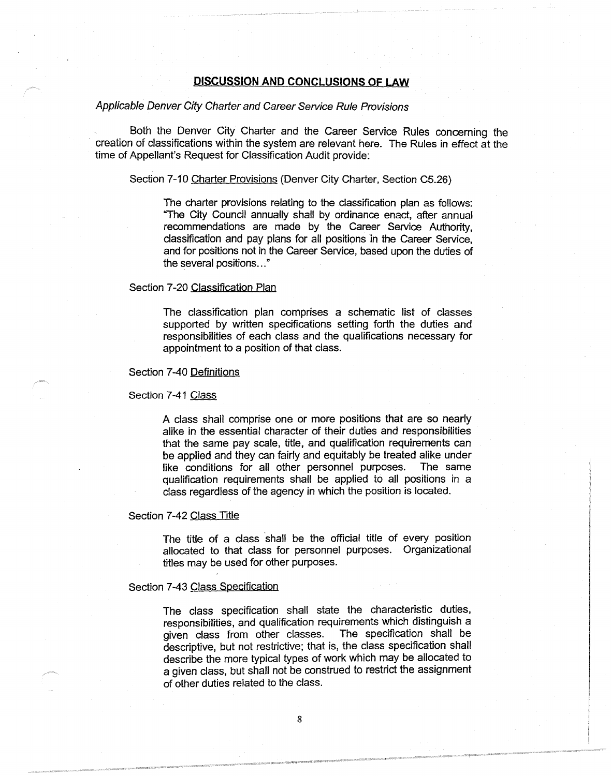## **DISCUSSION AND CONCLUSIONS OF LAW**

# Applicable Denver City Charter and Career Service Rule Provisions

Both the Denver City Charter and the Career Service Rules concerning the creation of classifications within the system are relevant here. The Rules in effect at the time of Appellant's Request for Classification Audit provide:

#### Section 7-10 Charter Provisions (Denver City Charter, Section C5.26)

The charter provisions relating to the classification plan as follows: "The City Council annually shall by ordinance enact, after annual recommendations are made by the Career Service Authority, classification and pay plans for all positions in the Career Service, and for positions not in the Career Service, based upon the duties of the several positions ... "

#### Section 7-20 Classification Plan

The classification plan comprises a schematic list of classes supported by written specifications setting forth the duties and responsibilities of each class and the qualifications necessary for appointment to a position of that class.

#### Section 7-40 Definitions

Section 7-41 Class

A class shall comprise one or more positions that are so nearly alike in the essential character of their duties and responsibilities that the same pay scale, title, and qualification requirements can be applied and they can fairly and equitably be treated alike under like conditions for all other personnel purposes. The same qualification requirements shall be applied to all positions in a class regardless of the agency in which the position is located.

### Section 7-42 Class Title

The title of a class shall be the official title of every position allocated to that class for personnel purposes. Organizational titles may be used for other purposes.

### Section 7-43 Class Specification

The class specification shall state the characteristic duties, responsibilities, and qualification requirements which distinguish a given class from other classes. The specification shall be descriptive, but not restrictive; that is, the class specification shall describe the more typical types of work which may be allocated to a given class, but shall not be construed to restrict the assignment of other duties related to the class.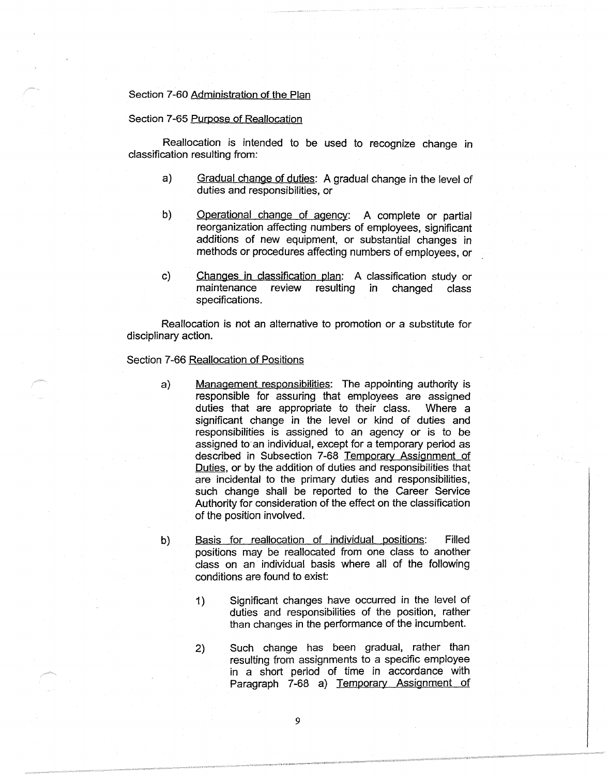# Section 7-60 Administration of the Plan

#### Section 7-65 Purpose of Reallocation

Reallocation is intended to be used to recognize change in classification resulting from:

- a) Gradual change of duties: A gradual change in the level of duties and responsibilities, or
- b) Operational change of agency: A complete or partial reorganization affecting numbers of employees, significant additions of new equipment, or substantial changes in methods or procedures affecting numbers of employees, or
- c) Changes in classification plan: A classification study or maintenance review resulting in changed class specifications.

Reallocation is not an alternative to promotion or a substitute for disciplinary action.

### Section 7-66 Reallocation of Positions

- a) Management responsibilities: The appointing authority is responsible for assuring that employees are assigned duties that are appropriate to their class. Where a significant change in the level or kind of duties and responsibilities is assigned to an agency or is to be assigned to an individual, except for a temporary period as described in Subsection 7-68 Temporary Assignment of Duties, or by the addition of duties and responsibilities that are incidental to the primary duties and responsibilities, such change shall be reported to the Career Service Authority for consideration of the effect on the classification of the position involved.
- b) Basis for reallocation of individual positions: Filled positions may be reallocated from one class to another class on an individual basis where all of the following conditions are found to exist:
	- 1) Significant changes have occurred in the level of duties and responsibilities of the position, rather than changes in the performance of the incumbent.
	- 2) Such change has been gradual, rather than resulting from assignments to a specific employee in a short period of time in accordance with Paragraph 7-68 a) Temporary Assignment of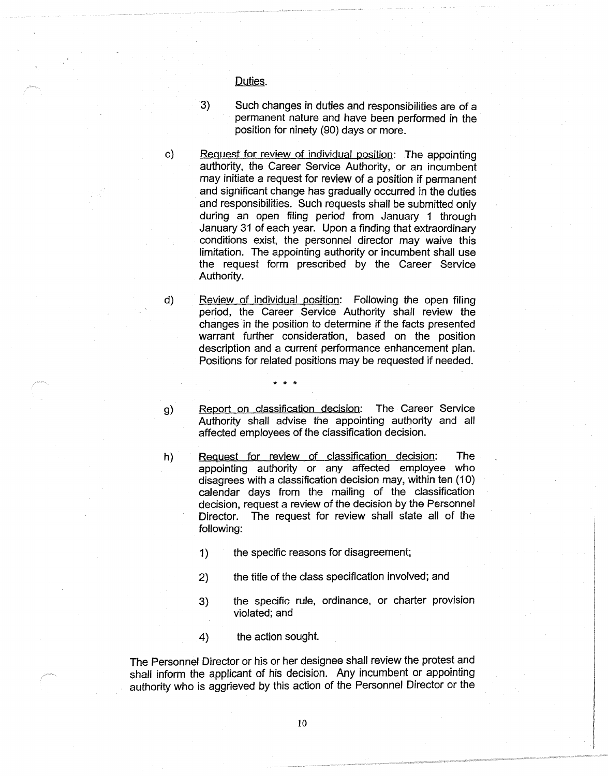Duties.

- 3) Such changes in duties and responsibilities are of a permanent nature and have been performed in the position for ninety (90) days or more.
- c) Request for review of individual position: The appointing authority, the Career Service Authority, or an incumbent may initiate a request for review of a position if permanent and significant change has gradually occurred in the duties and responsibilities. Such requests shall be submitted only during an open filing period from January 1 through January 31 of each year. Upon a finding that extraordinary conditions exist, the personnel director may waive this limitation. The appointing authority or incumbent shall use the request form prescribed by the Career Service Authority.
- d) Review of individual position: Following the open filing period, the Career Service Authority shall review the changes in the position to determine if the facts presented warrant further consideration, based on the position description and a current performance enhancement plan. Positions for related positions may be requested if needed.
- 
- g) Report on classification decision: The Career Service Authority shall advise the appointing authority and all affected employees of the classification decision.
- h) Request for review of classification decision: The appointing authority or any affected employee who disagrees with a classification decision may, within ten (10) calendar days from the mailing of the classification decision, request a review of the decision by the Personnel Director. The request for review shall state all of the following:
	- 1) the specific reasons for disagreement;

\* \* \*

- 2) the title of the class specification involved; and
- 3) the specific rule, ordinance, or charter provision violated; and
- 4) the action sought.

The Personnel Director or his or her designee shall review the protest and shall inform the applicant of his decision. Any incumbent or appointing authority who is aggrieved by this action of the Personnel Director or the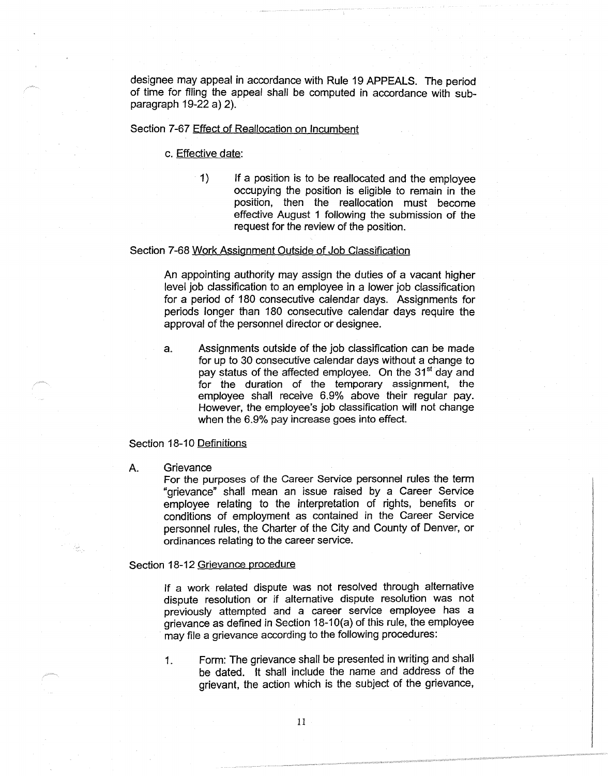designee may appeal in accordance with Rule 19 APPEALS. The period of time for filing the appeal shall be computed in accordance with subparagraph 19-22 a) 2).

#### Section 7-67 Effect of Reallocation on Incumbent

c. Effective date:

1) If a position is to be reallocated and the employee occupying the position is eligible to remain in the position, then the reallocation must become effective August 1 following the submission of the request for the review of the position.

### Section 7-68 Work Assignment Outside of Job Classification

An appointing authority may assign the duties of a vacant higher level job classification to an employee in a lower job classification for a period of 180 consecutive calendar days. Assignments for periods longer than 180 consecutive calendar days require the approval of the personnel director or designee.

a. Assignments outside of the job classification can be made for up to 30 consecutive calendar days without a change to pay status of the affected employee. On the 31<sup>st</sup> day and for the duration of the temporary assignment, the employee shall receive 6.9% above their regular pay. However, the employee's job classification will not change when the 6.9% pay increase goes into effect.

# Section 18-10 Definitions

#### A. Grievance

For the purposes of the Career Service personnel rules the term "grievance" shall mean an issue raised by a Career Service employee relating to the interpretation of rights, benefits or conditions of employment as contained in the Career Service personnel rules, the Charter of the City and County of Denver, or ordinances relating to the career service.

#### Section 18-12 Grievance procedure

If a work related dispute was not resolved through alternative dispute resolution or if alternative dispute resolution was not previously attempted and a career service employee has a grievance as defined in Section 18-10(a) of this rule, the employee may file a grievance according to the following procedures:

1. Form: The grievance shall be presented in writing and shall be dated. It shall include the name and address of the grievant, the action which is the subject of the grievance,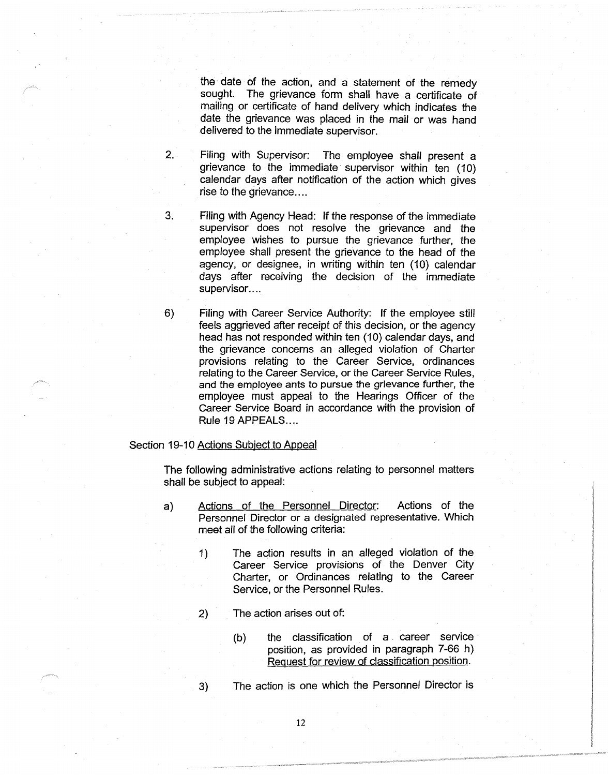the date of the action, and a statement of the remedy sought. The grievance form shall have a certificate of mailing or certificate of hand delivery which indicates the date the grievance was placed in the mail or was hand delivered to the immediate supervisor.

- 2. Filing with Supervisor: The employee shall present a grievance to the immediate supervisor within ten (10) calendar days after notification of the action which gives rise to the grievance....
- 3. Filing with Agency Head: If the response of the immediate supervisor does not resolve the grievance and the employee wishes to pursue the grievance further, the employee shall present the grievance to the head of the agency, or designee, in writing within ten (10) calendar days after receiving the decision of the immediate supervisor....
- 6) Filing with Career Service Authority: If the employee still feels aggrieved after receipt of this decision, or the agency head has not responded within ten (10) calendar days, and the grievance concerns an alleged violation of Charter provisions relating to the Career Service, ordinances relating to the Career Service, or the Career Service Rules, and the employee ants to pursue the grievance further, the employee must appeal to the Hearings Officer of the Career Service Board in accordance with the provision of Rule 19 APPEALS....

### Section 19-10 Actions Subject to Appeal

The following administrative actions relating to personnel matters shall be subject to appeal:

- a) Actions of the Personnel Director: Actions of the Personnel Director or a designated representative. Which meet all of the following criteria:
	- 1) The action results in an alleged violation of the Career Service provisions of the Denver City Charter, or Ordinances relating to the Career Service, or the Personnel Rules.
	- 2) The action arises out of:
		- (b) the classification of a career service position, as provided in paragraph 7-66 h) Request for review of classification position.

3) The action is one which the Personnel Director is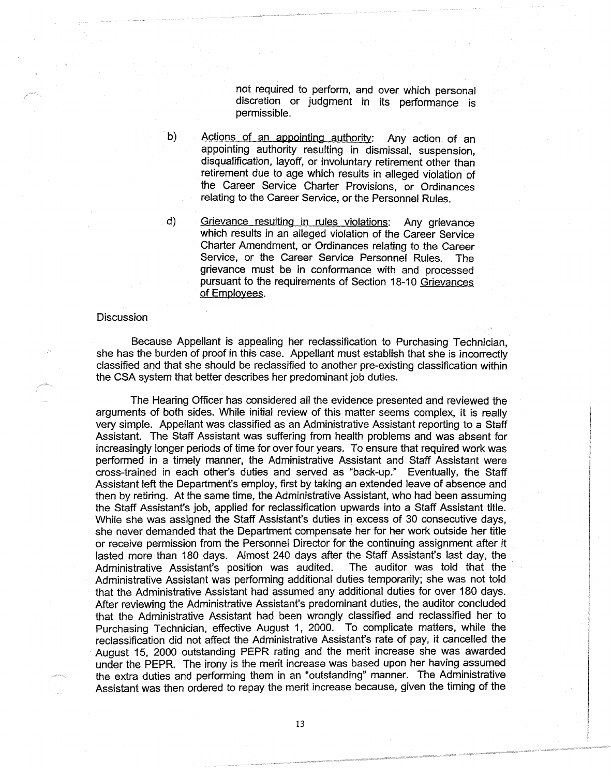not required to perform, and over which personal discretion or judgment in its performance is permissible.

- Actions of an appointing authority: Any action of an appointing authority resulting in dismissal, suspension, disqualification, layoff, or involuntary retirement other than retirement due to age which results in alleged violation of the Career Service Charter Provisions, or Ordinances relating to the Career Service, or the Personnel Rules.
- d) Grievance resulting in rules violations: Any grievance which results in an alleged violation of the Career Service Charter Amendment, or Ordinances relating to the Career Service, or the Career Service Personnel Rules. The grievance must be in conformance with and processed pursuant to the requirements of Section 18-10 Grievances of Employees.

# **Discussion**

b)

Because Appellant is appealing her reclassification to Purchasing Technician, she has the burden of proof in this case. Appellant must establish that she is incorrectly classified and that she should be reclassified to another pre-existing classification within the CSA system that better describes her predominant job duties.

The Hearing Officer has considered all the evidence presented and reviewed the arguments of both sides. While initial review of this matter seems complex, it is really very simple. Appellant was classified as an Administrative Assistant reporting to a Staff Assistant. The Staff Assistant was suffering from health problems and was absent for increasingly longer periods of time for over four years. To ensure that required work was performed in a timely manner, the Administrative Assistant and Staff Assistant were cross-trained in each other's duties and served as "back-up." Eventually, the Staff Assistant left the Department's employ, first by taking an extended leave of absence and then by retiring. At the same time, the Administrative Assistant, who had been assuming the Staff Assistant's job, applied for reclassification upwards into a Staff Assistant title. While she was assigned the Staff Assistant's duties in excess of 30 consecutive days, she never demanded that the Department compensate her for her work outside her title or receive permission from the Personnel Director for the continuing assignment after it lasted more than 180 days. Almost 240 days after the Staff Assistant's last day, the Administrative Assistant's position was audited. The auditor was told that the Administrative Assistant's position was audited. Administrative Assistant was performing additional duties temporarily; she was not told that the Administrative Assistant had assumed any additional duties for over 180 days. After reviewing the Administrative Assistant's predominant duties, the auditor concluded that the Administrative Assistant had been wrongly classified and reclassified her to Purchasing Technician, effective August 1, 2000. To complicate matters, while the reclassification did not affect the Administrative Assistant's rate of pay, it cancelled the August 15, 2000 outstanding PEPR rating and the merit increase she was awarded under the PEPR. The irony is the merit increase was based upon her having assumed the extra duties and performing them in an "outstanding" manner. The Administrative Assistant was then ordered to repay the merit increase because, given the timing of the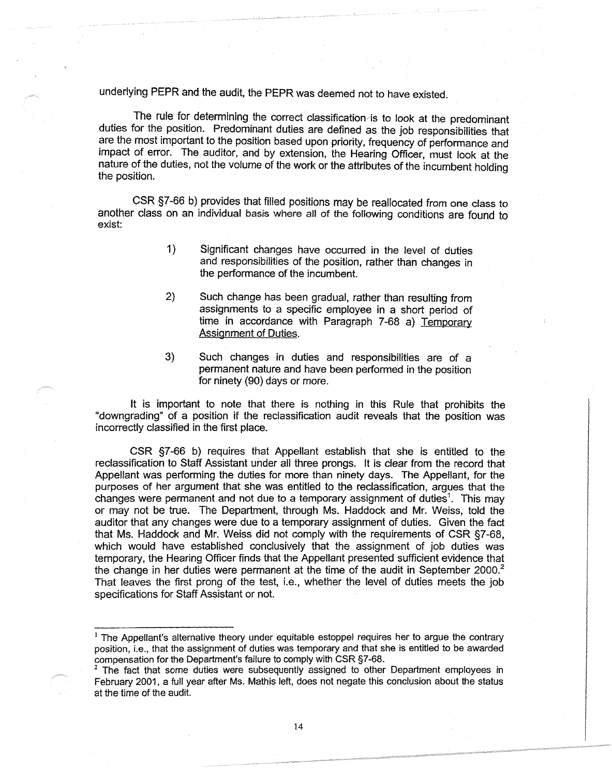underlying PEPR and the audit, the PEPR was deemed not to have existed.

The rule for determining the correct classification is to look at the predominant duties for the position. Predominant duties are defined as the job responsibilities that are the most important to the position based upon priority, frequency of performance and impact of error. The auditor, and by extension, the Hearing Officer, must look at the nature of the duties, not the volume of the work or the attributes of the incumbent holding the position.

CSR §7-66 b) provides that filled positions may be reallocated from one class to another class on an individual basis where all of the following conditions are found to exist:

- 1) Significant changes have occurred in the level of duties and responsibilities of the position, rather than changes in the performance of the incumbent.
- 2) Such change has been gradual, rather than resulting from assignments to a specific employee in a short period of time in accordance with Paragraph 7-68 a) Temporary Assignment of Duties.
- 3) Such changes in duties and responsibilities are of a permanent nature and have been performed in the position for ninety (90) days or more.

It is important to note that there is nothing in this Rule that prohibits the "downgrading" of a position if the reclassification audit reveals that the position was incorrectly classified in the first place.

CSR §7-66 b) requires that Appellant establish that she is entitled to the reclassification to Staff Assistant under all three prongs. It is clear from the record that Appellant was performing the duties for more than ninety days. The Appellant, for the purposes of her argument that she was entitled to the reclassification, argues that the changes were permanent and not due to a temporary assignment of duties<sup>1</sup>. This may or may not be true. The Department, through Ms. Haddock and Mr. Weiss, told the auditor that any changes were due to a temporary assignment of duties. Given the fact that Ms. Haddock and Mr. Weiss did not comply with the requirements of CSR §7-68, which would have established conclusively that the assignment of job duties was temporary, the Hearing Officer finds that the Appellant presented sufficient evidence that the change in her duties were permanent at the time of the audit in September  $2000.<sup>2</sup>$ That leaves the first prong of the test, i.e., whether the level of duties meets the job specifications for Staff Assistant or not.

 $<sup>1</sup>$  The Appellant's alternative theory under equitable estoppel requires her to argue the contrary</sup> position, i.e., that the assignment of duties was temporary and that she is entitled to be awarded compensation for the Department's failure to comply with CSR §7-68.

The fact that some duties were subsequently assigned to other Department employees in February 2001, a full year after Ms. Mathis left, does not negate this conclusion about the status at the time of the audit.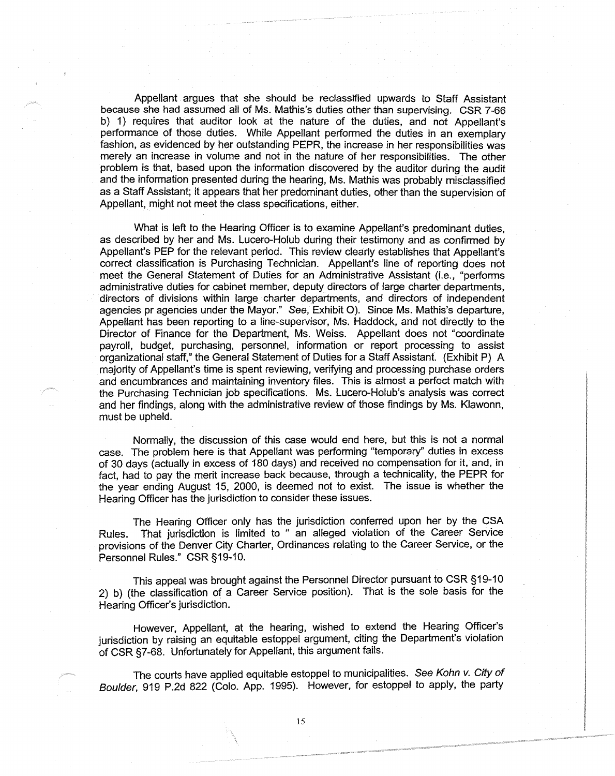Appellant argues that she should be reclassified upwards to Staff Assistant because she had assumed all of Ms. Mathis's duties other than supervising. CSR 7-66 b) 1) requires that auditor look at the nature of the duties, and not Appellant's performance of those duties. While Appellant performed the duties in an exemplary fashion, as evidenced by her outstanding PEPR, the increase in her responsibilities was merely an increase in volume and not in the nature of her responsibilities. The other problem is that, based upon the information discovered by the auditor during the audit and the information presented during the hearing, Ms. Mathis was probably misclassified as a Staff Assistant; it appears that her predominant duties, other than the supervision of Appellant, might not meet the class specifications, either.

What is left to the Hearing Officer is to examine Appellant's predominant duties, as described by her and Ms. Lucero-Holub during their testimony and as confirmed by Appellant's PEP for the relevant period. This review clearly establishes that Appellant's correct classification is Purchasing Technician. Appellant's line of reporting does not meet the General Statement of Duties for an Administrative Assistant (i.e., "performs administrative duties for cabinet member, deputy directors of large charter departments, directors of divisions within large charter departments, and directors of independent agencies pr agencies under the Mayor." See, Exhibit 0). Since Ms. Mathis's departure, Appellant has been reporting to a line-supervisor, Ms. Haddock, and not directly to the Director of Finance for the Department, Ms. Weiss. Appellant does not "coordinate payroll, budget, purchasing, personnel, information or report processing to assist organizational staff," the General Statement of Duties for a Staff Assistant. (Exhibit P) A majority of Appellant's time is spent reviewing, verifying and processing purchase orders and encumbrances and maintaining inventory files. This is almost a perfect match with the Purchasing Technician job specifications. Ms. Lucero-Holub's analysis was correct and her findings, along with the administrative review of those findings by Ms. Klawonn, must be upheld.

Normally, the discussion of this case would end here, but this is not a normal case. The problem here is that Appellant was performing "temporary" duties in excess of 30 days (actually in excess of 180 days) and received no compensation for it, and, in fact, had to pay the merit increase back because, through a technicality, the PEPR for the year ending August 15, 2000, is deemed not to exist. The issue is whether the Hearing Officer has the jurisdiction to consider these issues.

The Hearing Officer only has the jurisdiction conferred upon her by the CSA Rules. That jurisdiction is limited to " an alleged violation of the Career Service provisions of the Denver City Charter, Ordinances relating to the Career Service, or the Personnel Rules." CSR §19-10.

This appeal was brought against the Personnel Director pursuant to CSR § 19-10 2) b) (the classification of a Career Service position). That is the sole basis for the Hearing Officer's jurisdiction.

However, Appellant, at the hearing, wished to extend the Hearing Officer's jurisdiction by raising an equitable estoppel argument, citing the Department's violation of CSR §7-68. Unfortunately for Appellant, this argument fails.

The courts have applied equitable estoppel to municipalities. See Kohn v. City of Boulder, 919 P.2d 822 (Colo. App. 1995). However, for estoppal to apply, the party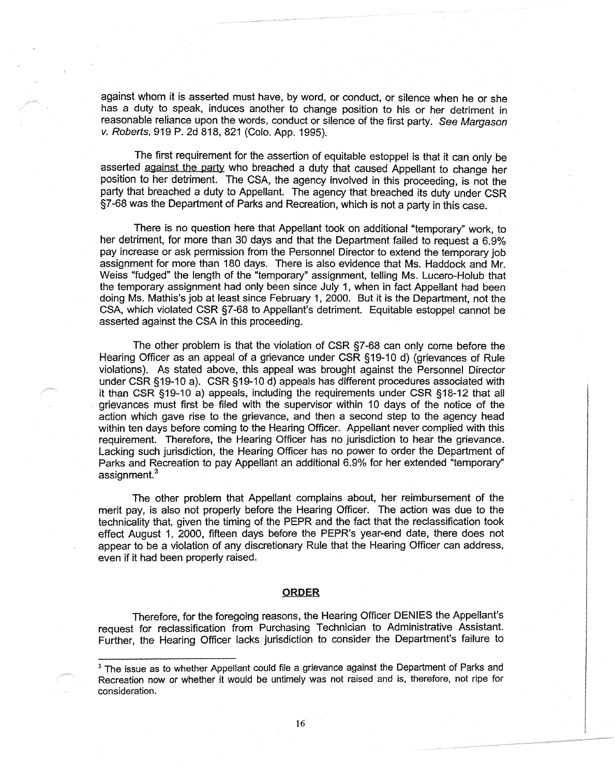against whom it is asserted must have, by word, or conduct, or silence when he or she has a duty to speak, induces another to change position to his or her detriment in reasonable reliance upon the words, conduct or silence of the first party. See Margason v. Roberts, 919 P. 2d 818, 821 (Colo. App. 1995).

The first requirement for the assertion of equitable estoppel is that it can only be asserted against the party who breached a duty that caused Appellant to change her position to her detriment. The CSA, the agency involved in this proceeding, is not the party that breached a duty to Appellant. The agency that breached its duty under CSR §7-68 was the Department of Parks and Recreation, which is not a party in this case.

There is no question here that Appellant took on additional "temporary" work, to her detriment, for more than 30 days and that the Department failed to request a 6.9% pay increase or ask permission from the Personnel Director to extend the temporary job assignment for more than 180 days. There is also evidence that Ms. Haddock and Mr. Weiss "fudged" the length of the "temporary" assignment, telling Ms. Lucero-Holub that the temporary assignment had only been since July 1, when in fact Appellant had been doing Ms. Mathis's job at least since February 1, 2000. But it is the Department, not the CSA, which violated CSR §7-68 to Appellant's detriment. Equitable estoppel cannot be asserted against the CSA in this proceeding.

The other problem is that the violation of CSR §7-68 can only come before the Hearing Officer as an appeal of a grievance under CSR §19-10 d) (grievances of Rule violations). As stated above, this appeal was brought against the Personnel Director under CSR §19-10 a). CSR §19-10 d) appeals has different procedures associated with it than CSR §19-10 a) appeals, including the requirements under CSR §18-12 that all grievances must first be filed with the supervisor within 10 days of the notice of the action which gave rise to the grievance, and then a second step to the agency head within ten days before coming to the Hearing Officer. Appellant never complied with this requirement. Therefore, the Hearing Officer has no jurisdiction to hear the grievance. Lacking such jurisdiction, the Hearing Officer has no power to order the Department of Parks and Recreation to pay Appellant an additional 6.9% for her extended "temporary" assignment.<sup>3</sup>

The other problem that Appellant complains about, her reimbursement of the merit pay, is also not properly before the Hearing Officer. The action was due to the technicality that, given the timing of the PEPR and the fact that the reclassification took effect August 1, 2000, fifteen days before the PEPR's year-end date, there does not appear to be a violation of any discretionary Rule that the Hearing Officer can address, even if it had been properly raised.

#### **ORDER**

Therefore, for the foregoing reasons, the Hearing Officer DENIES the Appellant's request for reclassification from Purchasing Technician to Administrative Assistant. Further, the Hearing Officer lacks jurisdiction to consider the Department's failure to

<sup>&</sup>lt;sup>3</sup> The issue as to whether Appellant could file a grievance against the Department of Parks and Recreation now or whether it would be untimely was not raised and is, therefore, not ripe for consideration.